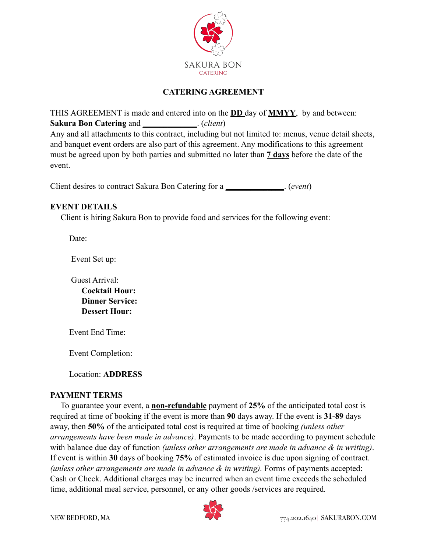

# **CATERING AGREEMENT**

THIS AGREEMENT is made and entered into on the **DD** day of **MMYY**, by and between: **Sakura Bon Catering** and **\_\_\_\_\_\_\_\_\_\_\_\_\_**. (*client*)

Any and all attachments to this contract, including but not limited to: menus, venue detail sheets, and banquet event orders are also part of this agreement. Any modifications to this agreement must be agreed upon by both parties and submitted no later than **7 days** before the date of the event.

Client desires to contract Sakura Bon Catering for a **\_\_\_\_\_\_\_\_\_\_\_\_\_\_**. (*event*)

### **EVENT DETAILS**

Client is hiring Sakura Bon to provide food and services for the following event:

Date:

Event Set up:

Guest Arrival:  **Cocktail Hour: Dinner Service: Dessert Hour:** 

Event End Time:

Event Completion:

Location: **ADDRESS**

#### **PAYMENT TERMS**

 To guarantee your event, a **non-refundable** payment of **25%** of the anticipated total cost is required at time of booking if the event is more than **90** days away. If the event is **31-89** days away, then **50%** of the anticipated total cost is required at time of booking *(unless other arrangements have been made in advance)*. Payments to be made according to payment schedule with balance due day of function *(unless other arrangements are made in advance & in writing)*. If event is within **30** days of booking **75%** of estimated invoice is due upon signing of contract. *(unless other arrangements are made in advance & in writing).* Forms of payments accepted: Cash or Check. Additional charges may be incurred when an event time exceeds the scheduled time, additional meal service, personnel, or any other goods /services are required*.*